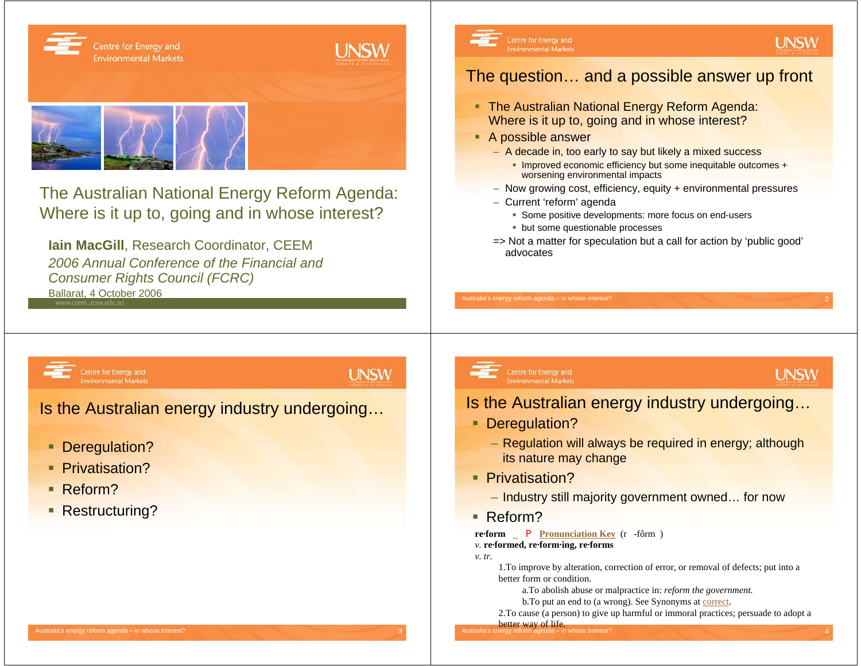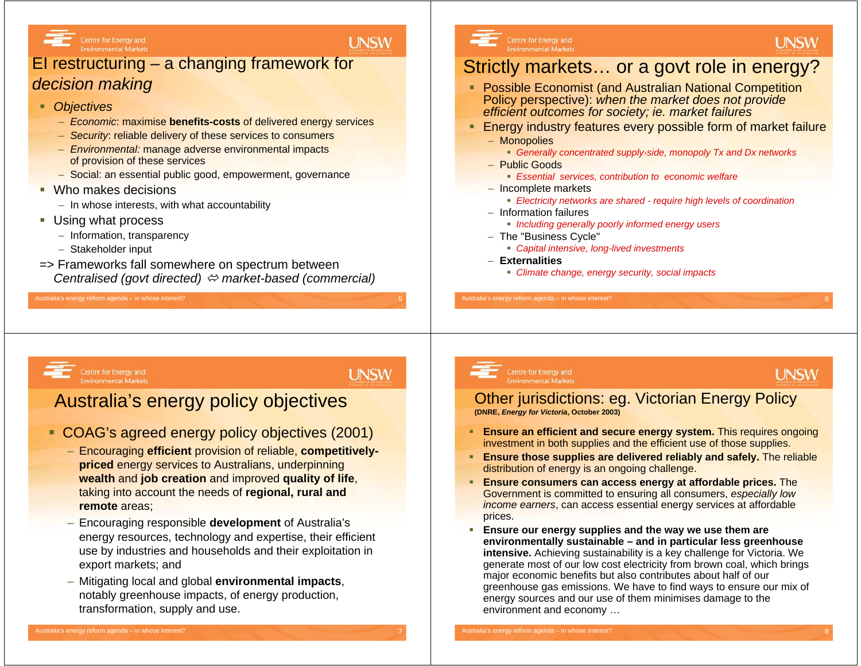

## **UNSW**

## EI restructuring – a changing framework for *decision making*

- *Objectives*
	- *Economic*: maximise **benefits-costs** of delivered energy services
	- *Security*: reliable delivery of these services to consumers
	- *Environmental:* manage adverse environmental impacts of provision of these services
	- Social: an essential public good, empowerment, governance
- Who makes decisions
	- In whose interests, with what accountability
- Using what process
	- Information, transparency
	- Stakeholder input
- => Frameworks fall somewhere on spectrum between *Centralised (govt directed)* <sup>Ù</sup> *market-based (commercial)*

#### Australia's energy reform agenda - in whose interest?

#### Centre for Energy and **Environmental Markets**

# Strictly markets… or a govt role in energy?

- **Possible Economist (and Australian National Competition** Policy perspective): *when the market does not provide efficient outcomes for society; ie. market failures*
- П Energy industry features every possible form of market failure – Monopolies
	- *Generally concentrated supply-side, monopoly Tx and Dx networks*
	- Public Goods
		- *Essential services, contribution to economic welfare*
	- Incomplete markets
		- *Electricity networks are shared - require high levels of coordination*
	- Information failures
		- *Including generally poorly informed energy users*
	- The "Business Cycle"
		- *Capital intensive, long-lived investments*
	- **Externalities**
		- *Climate change, energy security, social impacts*

#### Centre for Energy and **Environmental Markets**

**UNSW** 

## Australia's energy policy objectives

- COAG's agreed energy policy objectives (2001)
	- Encouraging **efficient** provision of reliable, **competitivelypriced** energy services to Australians, underpinning **wealth** and **job creation** and improved **quality of life**, taking into account the needs of **regional, rural and remote** areas;
	- Encouraging responsible **development** of Australia's energy resources, technology and expertise, their efficient use by industries and households and their exploitation in export markets; and
	- Mitigating local and global **environmental impacts**, notably greenhouse impacts, of energy production, transformation, supply and use.

#### Centre for Energy and **Environmental Markets**

## **UNSW**

**UNSW** 

#### Other jurisdictions: eg. Victorian Energy Policy **(DNRE,** *Energy for Victoria***, October 2003)**

- **Ensure an efficient and secure energy system.** This requires ongoing investment in both supplies and the efficient use of those supplies.
- **Ensure those supplies are delivered reliably and safely.** The reliable distribution of energy is an ongoing challenge.
- □ **Ensure consumers can access energy at affordable prices.** The Government is committed to ensuring all consumers, *especially low income earners*, can access essential energy services at affordable prices.
- п **Ensure our energy supplies and the way we use them are environmentally sustainable – and in particular less greenhouse intensive.** Achieving sustainability is a key challenge for Victoria. We generate most of our low cost electricity from brown coal, which brings major economic benefits but also contributes about half of our greenhouse gas emissions. We have to find ways to ensure our mix of energy sources and our use of them minimises damage to the environment and economy …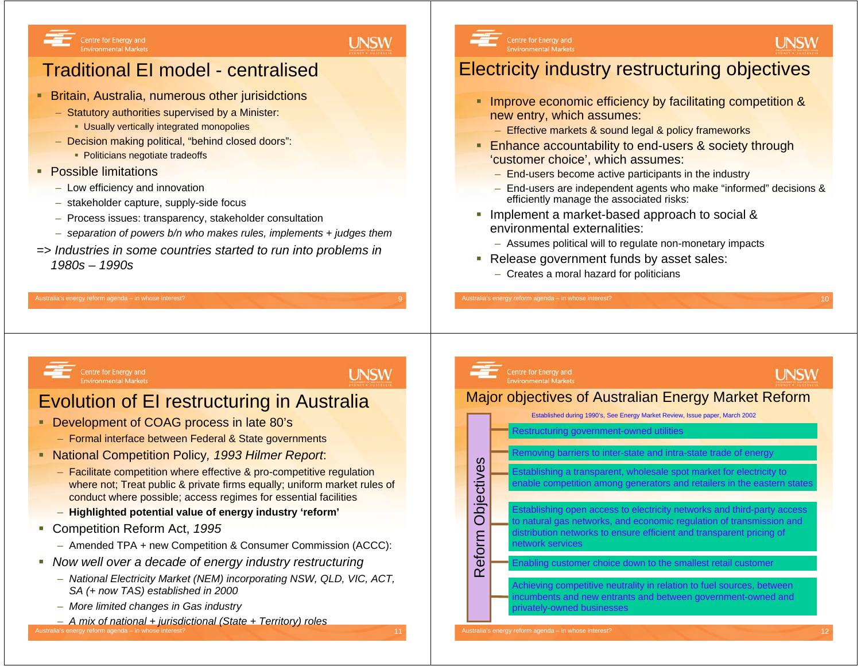

# Traditional EI model - centralised

- Britain, Australia, numerous other jurisidctions
	- Statutory authorities supervised by a Minister:
		- Usually vertically integrated monopolies
	- Decision making political, "behind closed doors":
		- Politicians negotiate tradeoffs
- **Possible limitations** 
	- Low efficiency and innovation
	- stakeholder capture, supply-side focus
	- Process issues: transparency, stakeholder consultation
	- *separation of powers b/n who makes rules, implements + judges them*
- *=> Industries in some countries started to run into problems in 1980s – 1990s*



# Electricity industry restructuring objectives

- **Improve economic efficiency by facilitating competition &** new entry, which assumes:
	- Effective markets & sound legal & policy frameworks
- **Enhance accountability to end-users & society through** 'customer choice', which assumes:
	- End-users become active participants in the industry
	- End-users are independent agents who make "informed" decisions & efficiently manage the associated risks:
- Implement a market-based approach to social & environmental externalities:
	- Assumes political will to regulate non-monetary impacts
- Release government funds by asset sales:
	- Creates a moral hazard for politicians

Centre for Energy and **Environmental Markets** 

Australia's energy reform agenda - in whose interest?

**UNSW** 

**UNSW** 

# Evolution of EI restructuring in Australia

- Development of COAG process in late 80's
	- Formal interface between Federal & State governments
- National Competition Policy*, 1993 Hilmer Report*:
	- Facilitate competition where effective & pro-competitive regulation where not; Treat public & private firms equally; uniform market rules of conduct where possible; access regimes for essential facilities
	- **Highlighted potential value of energy industry 'reform'**
- Competition Reform Act, *1995*
	- Amended TPA + new Competition & Consumer Commission (ACCC):
- *Now well over a decade of energy industry restructuring*
	- *National Electricity Market (NEM) incorporating NSW, QLD, VIC, ACT, SA (+ now TAS) established in 2000*
	- *More limited changes in Gas industry*
	- ralia's energy reform agenda in whos – *A mix of national + jurisdictional (State + Territory) roles*



**UNSW**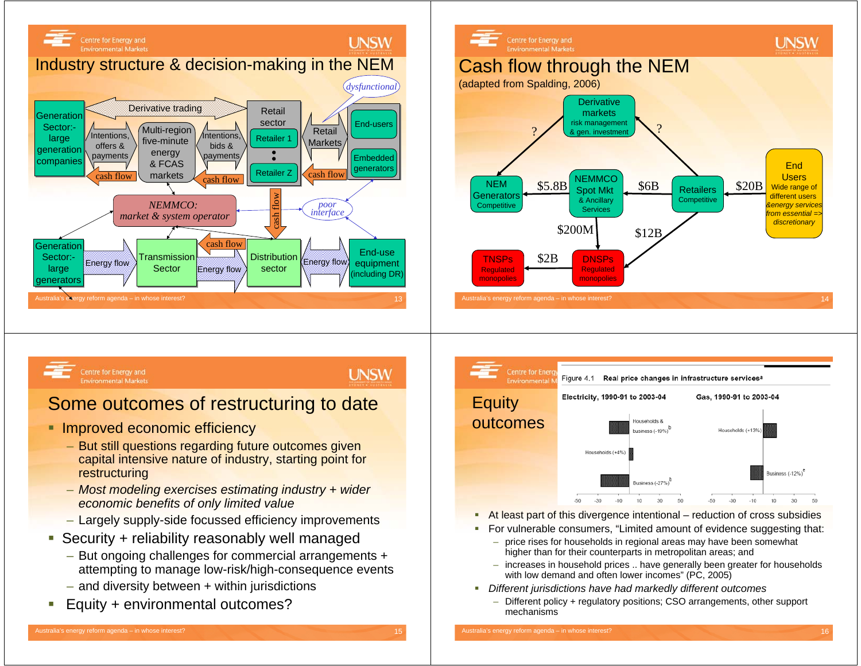



## **UNSW**

## Some outcomes of restructuring to date

- **Improved economic efficiency** 
	- But still questions regarding future outcomes given capital intensive nature of industry, starting point for restructuring
	- *Most modeling exercises estimating industry + wider economic benefits of only limited value*
	- Largely supply-side focussed efficiency improvements
- Security + reliability reasonably well managed
	- But ongoing challenges for commercial arrangements + attempting to manage low-risk/high-consequence events
	- and diversity between + within jurisdictions
- ×, Equity + environmental outcomes?





- ι. At least part of this divergence intentional – reduction of cross subsidies
- m. For vulnerable consumers, "Limited amount of evidence suggesting that:
	- price rises for households in regional areas may have been somewhat higher than for their counterparts in metropolitan areas; and
	- increases in household prices .. have generally been greater for households with low demand and often lower incomes" (PC, 2005)
- *Different jurisdictions have had markedly different outcomes*
	- – Different policy + regulatory positions; CSO arrangements, other support mechanisms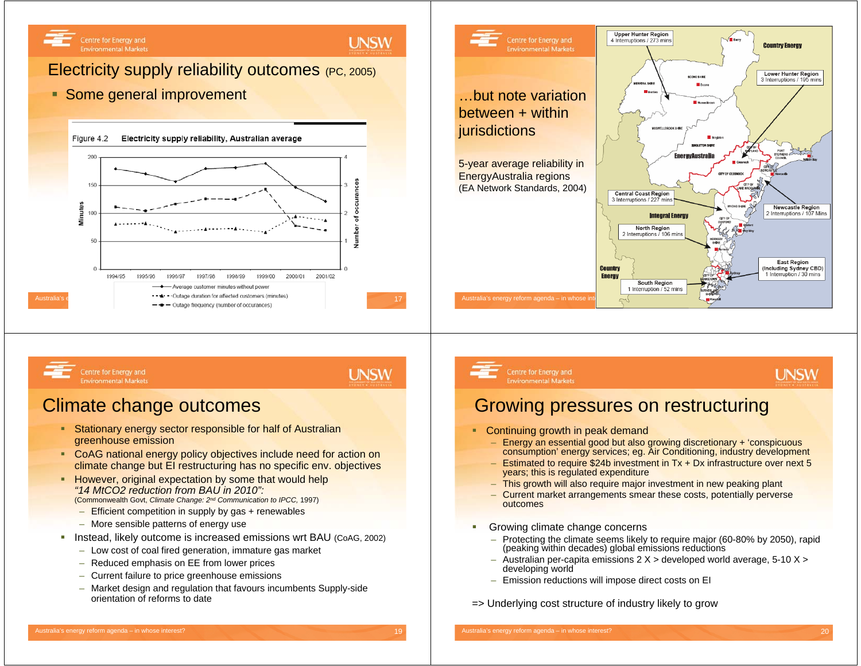## **UNSW**

## Electricity supply reliability outcomes (PC, 2005)

## **Some general improvement**





Centre for Energy and **Environmental Markets**  **UNSW** 

## Climate change outcomes

- a. Stationary energy sector responsible for half of Australian greenhouse emission
- **CoAG** national energy policy objectives include need for action on climate change but EI restructuring has no specific env. objectives
- **However, original expectation by some that would help** *"14 MtCO2 reduction from BAU in 2010":* (Commonwealth Govt, *Climate Change: 2nd Communication to IPCC,* 1997)
	- Efficient competition in supply by gas + renewables
	- More sensible patterns of energy use
- Instead, likely outcome is increased emissions wrt BAU (CoAG, 2002)
	- Low cost of coal fired generation, immature gas market
	- Reduced emphasis on EE from lower prices
	- Current failure to price greenhouse emissions
	- Market design and regulation that favours incumbents Supply-side orientation of reforms to date

# Centre for Energy and

#### **Environmental Markets**

## **UNSW**

# Growing pressures on restructuring

- a. Continuing growth in peak demand
	- Energy an essential good but also growing discretionary + 'conspicuous consumption' energy services; eg. Air Conditioning, industry development
	- Estimated to require \$24b investment in Tx + Dx infrastructure over next 5 years; this is regulated expenditure
	- This growth will also require major investment in new peaking plant
	- Current market arrangements smear these costs, potentially perverse outcomes
- ш Growing climate change concerns
	- Protecting the climate seems likely to require major (60-80% by 2050), rapid (peaking within decades) global emissions reductions
	- Australian per-capita emissions 2 X > developed world average, 5-10 X > developing world
	- Emission reductions will impose direct costs on EI

#### => Underlying cost structure of industry likely to grow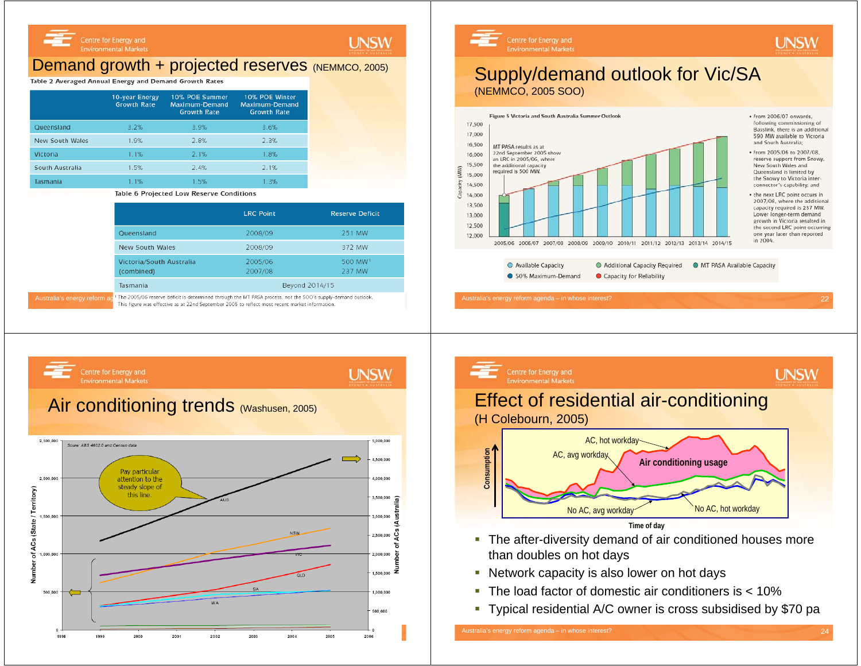## Demand growth + projected reserves (NEMMCO, 2005)

#### Table 2 Averaged Annual Energy and Demand Growth Rates

|                        | <b>10-year Energy</b><br><b>Growth Rate</b> | 10% POE Summer<br>Maximum-Demand<br><b>Growth Rate</b> | 10% POE Winter<br>Maximum-Demand<br><b>Growth Rate</b> |
|------------------------|---------------------------------------------|--------------------------------------------------------|--------------------------------------------------------|
| Queensland             | 3.2%                                        | 3.9%                                                   | 3.6%                                                   |
| <b>New South Wales</b> | 1.9%                                        | 2.8%                                                   | 2.3%                                                   |
| Victoria               | 1.1%                                        | 2.1%                                                   | 1.8%                                                   |
| South Australia        | 1.5%                                        | 2.4%                                                   | 2.1%                                                   |
| Tasmania               | 1.1%                                        | 1.5%                                                   | 1.3%                                                   |

Table 6 Projected Low Reserve Conditions

|                                                                                                                                                                                                                 | <b>LRC Point</b>   | <b>Reserve Deficit</b>        |  |  |  |
|-----------------------------------------------------------------------------------------------------------------------------------------------------------------------------------------------------------------|--------------------|-------------------------------|--|--|--|
| Queensland                                                                                                                                                                                                      | 2008/09            | 251 MW                        |  |  |  |
| <b>New South Wales</b>                                                                                                                                                                                          | 2008/09            | 372 MW                        |  |  |  |
| Victoria/South Australia<br>(combined)                                                                                                                                                                          | 2005/06<br>2007/08 | 500 MW <sup>1</sup><br>237 MW |  |  |  |
| Tasmania                                                                                                                                                                                                        | Beyond 2014/15     |                               |  |  |  |
| 1 The 2005/06 reserve deficit is determined through the MT PASA process, not the SOO's supply-demand outlook.<br>This figure was effective as at 22nd September 2005 to reflect most recent market information. |                    |                               |  |  |  |

**UNSW** 

Centre for Energy and **Environmental Markets** 

### Supply/demand outlook for Vic/SA (NEMMCO, 2005 SOO)



 $*$  from 2006/07 onwards following commissioning of Basslink, there is an additional 590 MW available to Victoria and South Australia;

**UNSW** 

+ from 2005/06 to 2007/08. reserve support from Snowy. New South Wales and Queensland is limited by the Snowy to Victoria interconnector's capability; and

• the next LRC point occurs in 2007/08, where the additional capacity required is 237 MW. Lower longer-term demand growth in Victoria resulted in the second LRC point occurring one year later than reported in 2004.

● Available Capacity Additional Capacity Required **O** MT PASA Available Capacity • 50% Maximum-Demand Capacity for Reliability





- Network capacity is also lower on hot days
- The load factor of domestic air conditioners is < 10%
- $\blacksquare$ Typical residential A/C owner is cross subsidised by \$70 pa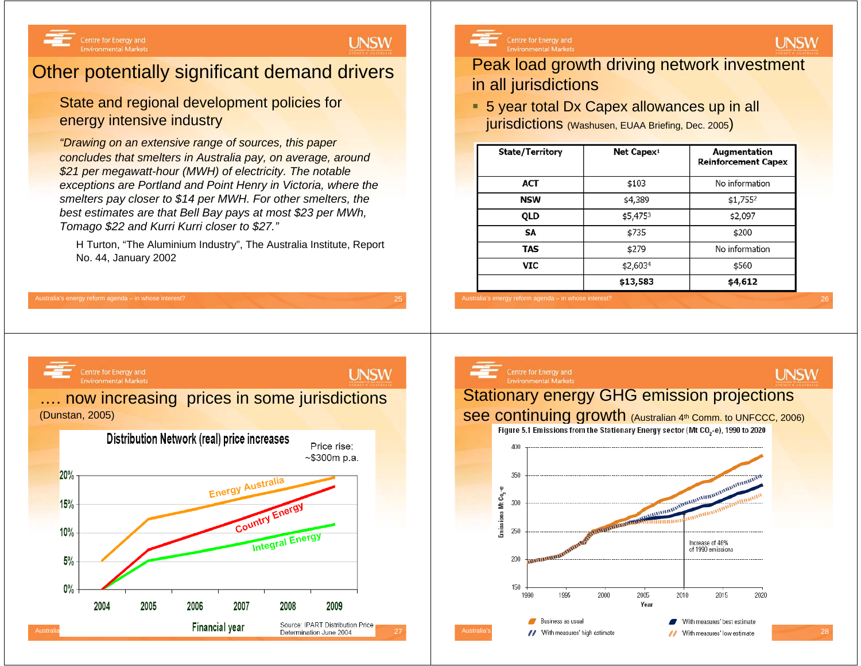Centre for Energy and

## **UNSW**

# Other potentially significant demand drivers

## State and regional development policies for energy intensive industry

*"Drawing on an extensive range of sources, this paper concludes that smelters in Australia pay, on average, around \$21 per megawatt-hour (MWH) of electricity. The notable exceptions are Portland and Point Henry in Victoria, where the smelters pay closer to \$14 per MWH. For other smelters, the best estimates are that Bell Bay pays at most \$23 per MWh, Tomago \$22 and Kurri Kurri closer to \$27."*

H Turton, "The Aluminium Industry", The Australia Institute, Report No. 44, January 2002

Centre for Energy and

## Peak load growth driving network investment in all jurisdictions

■ 5 year total Dx Capex allowances up in all jurisdictions (Washusen, EUAA Briefing, Dec. 2005)

| <b>State/Territory</b> | Net Capex <sup>1</sup> | Augmentation<br><b>Reinforcement Capex</b> |
|------------------------|------------------------|--------------------------------------------|
| <b>ACT</b>             | \$103                  | No information                             |
| <b>NSW</b>             | \$4,389                | \$1,7552                                   |
| QLD                    | \$5,4753               | \$2,097                                    |
| SΑ                     | \$735                  | \$200                                      |
| <b>TAS</b>             | \$279                  | No information                             |
| VIC                    | \$2,6034               | \$560                                      |
|                        | \$13,583               | \$4,612                                    |





**UNSW** 



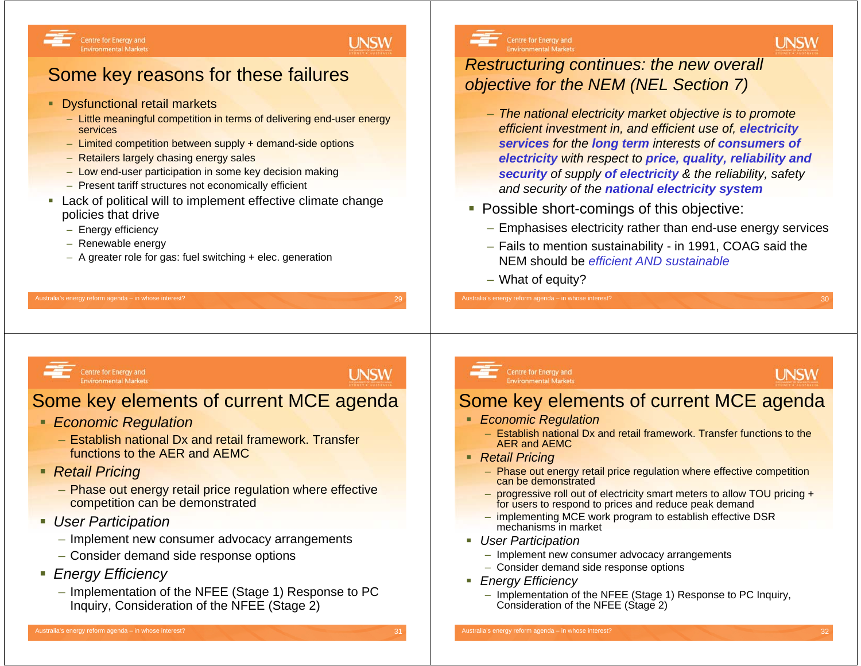## **UNSW**

# Some key reasons for these failures

- **Dysfunctional retail markets** 
	- Little meaningful competition in terms of delivering end-user energy services
	- Limited competition between supply + demand-side options
	- Retailers largely chasing energy sales
	- Low end-user participation in some key decision making
	- Present tariff structures not economically efficient
- Lack of political will to implement effective climate change policies that drive

Australia's energy reform agenda – in whose interest? 29

- Energy efficiency
- Renewable energy
- A greater role for gas: fuel switching + elec. generation



## *Restructuring continues: the new overall objective for the NEM (NEL Section 7)*

- *The national electricity market objective is to promote efficient investment in, and efficient use of, electricity services for the long term interests of consumers of electricity with respect to price, quality, reliability and security of supply of electricity & the reliability, safety and security of the national electricity system*
- Possible short-comings of this objective:
	- Emphasises electricity rather than end-use energy services
	- Fails to mention sustainability in 1991, COAG said the NEM should be *efficient AND sustainable*
	- What of equity?

Centre for Energy and

**UNSW** 

# Some key elements of current MCE agenda

*Economic Regulation*

**Environmental Markets** 

- Establish national Dx and retail framework. Transfer functions to the AER and AEMC
- *Retail Pricing*
	- Phase out energy retail price regulation where effective competition can be demonstrated
- *User Participation*
	- Implement new consumer advocacy arrangements
	- Consider demand side response options
- *Energy Efficiency*
	- Implementation of the NFEE (Stage 1) Response to PC Inquiry, Consideration of the NFEE (Stage 2)

```
Centre for Energy and
Environmental Markets
```
# **UNSW**

**UNSW** 

# Some key elements of current MCE agenda

- *Economic Regulation*
	- Establish national Dx and retail framework. Transfer functions to the AER and AEMC
- *Retail Pricing*
	- Phase out energy retail price regulation where effective competition can be demonstrated
	- progressive roll out of electricity smart meters to allow TOU pricing + for users to respond to prices and reduce peak demand
	- implementing MCE work program to establish effective DSR mechanisms in market
- *User Participation*
	- Implement new consumer advocacy arrangements
	- Consider demand side response options
- *Energy Efficiency*
	- Implementation of the NFEE (Stage 1) Response to PC Inquiry, Consideration of the NFEE (Stage 2)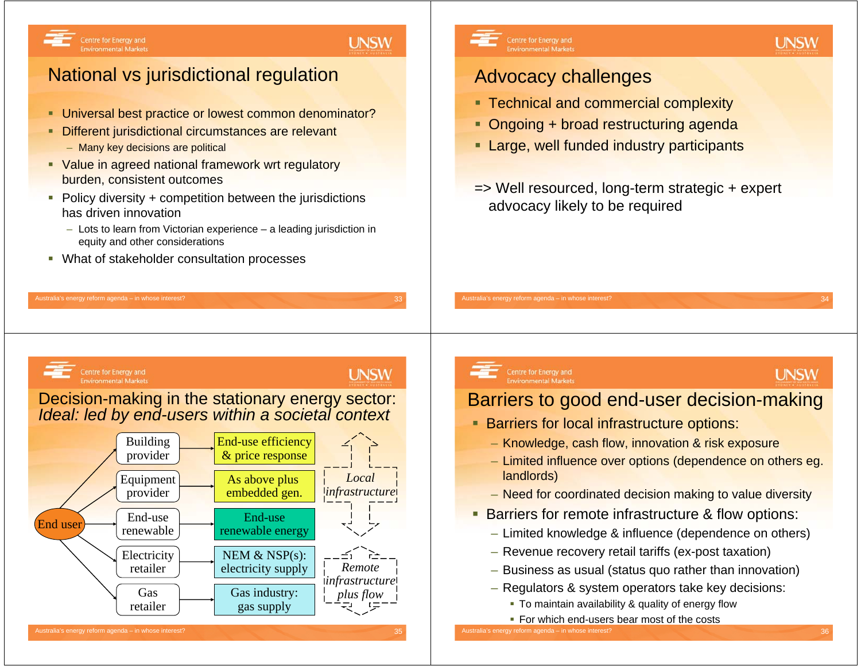## **UNSW**

# National vs jurisdictional regulation

- **Universal best practice or lowest common denominator?**
- ٠ Different jurisdictional circumstances are relevant – Many key decisions are political
- **Value in agreed national framework wrt regulatory** burden, consistent outcomes
- Policy diversity + competition between the jurisdictions has driven innovation
	- Lots to learn from Victorian experience a leading jurisdiction in equity and other considerations

Australia's energy reform agenda – in whose interest? 33  $\,$  33  $\,$  33  $\,$  33  $\,$  35  $\,$  35  $\,$  35  $\,$  35  $\,$  35  $\,$  35  $\,$  35  $\,$  35  $\,$  35  $\,$  35  $\,$  35  $\,$  35  $\,$  35  $\,$  35  $\,$  35  $\,$  35  $\,$  35  $\,$ 

What of stakeholder consultation processes



Centre for Energy and **Environmental Markets** 

## Advocacy challenges

- **Technical and commercial complexity**
- ٠ Ongoing + broad restructuring agenda
- $\blacksquare$ Large, well funded industry participants
- => Well resourced, long-term strategic + expert advocacy likely to be required



## **UNSW**

Decision-making in the stationary energy sector: *Ideal: led by end-users within a societal context*



# Centre for Energy and<br>Environmental Markets

# **UNSW**

**UNSW** 

## Barriers to good end-user decision-making

- Barriers for local infrastructure options:
	- Knowledge, cash flow, innovation & risk exposure
	- Limited influence over options (dependence on others eg. landlords)
	- Need for coordinated decision making to value diversity
- **Barriers for remote infrastructure & flow options:** 
	- Limited knowledge & influence (dependence on others)
	- Revenue recovery retail tariffs (ex-post taxation)
	- Business as usual (status quo rather than innovation)
	- Regulators & system operators take key decisions:
		- To maintain availability & quality of energy flow
		- For which end-users bear most of the costs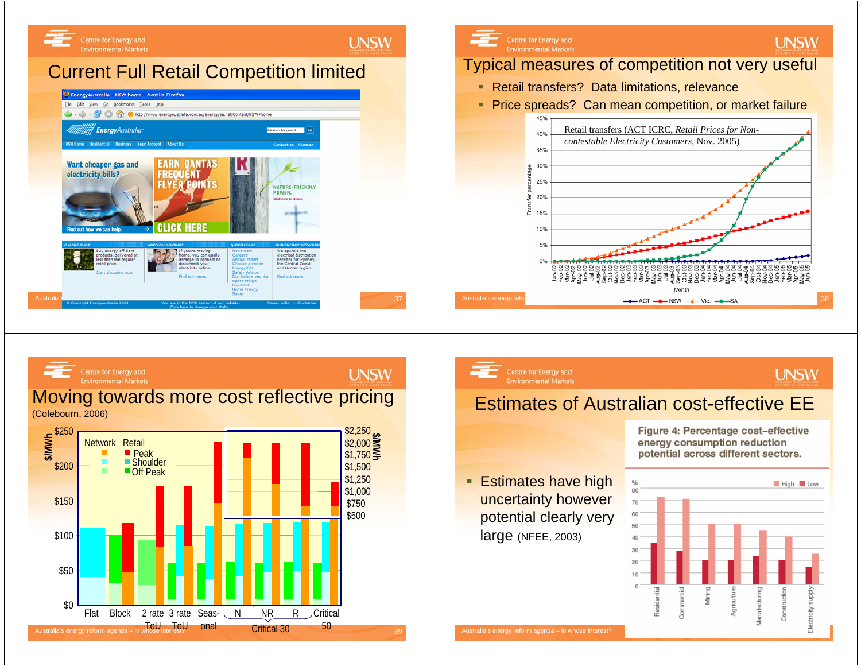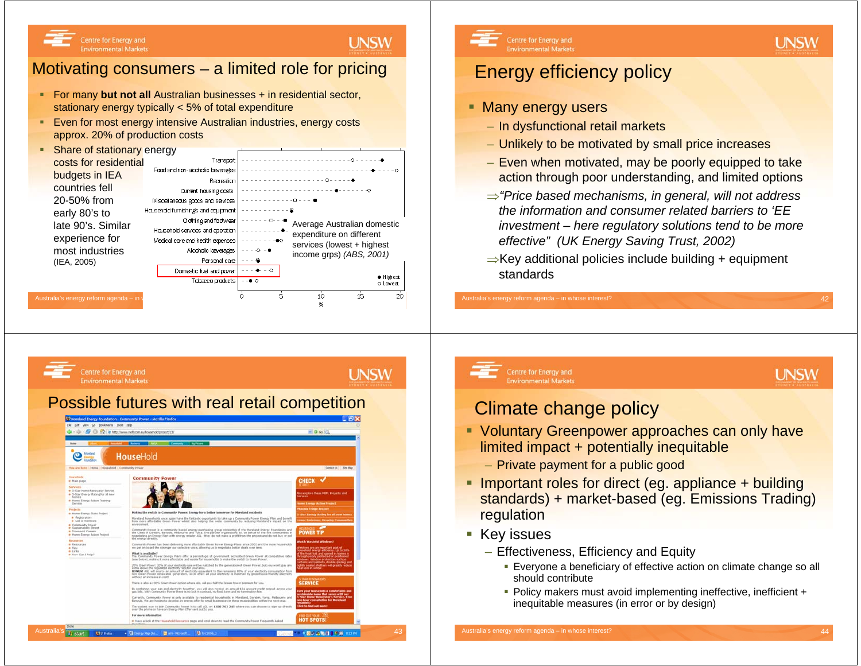## **LINSW**

## Motivating consumers – a limited role for pricing

- For many **but not all** Australian businesses + in residential sector, stationary energy typically < 5% of total expenditure
- ٠ Even for most energy intensive Australian industries, energy costs approx. 20% of production costs





**UNSW** 

# Energy efficiency policy

### **Many energy users**

**Environmental Markets** 

Australia's energy reform agenda – in whose interest?

Centre for Energy and

**Environmental Markets** 

- In dysfunctional retail markets
- Unlikely to be motivated by small price increases
- Even when motivated, may be poorly equipped to take action through poor understanding, and limited options
- <sup>⇒</sup>*"Price based mechanisms, in general, will not address the information and consumer related barriers to 'EE investment – here regulatory solutions tend to be more effective" (UK Energy Saving Trust, 2002)*
- <sup>⇒</sup>Key additional policies include building + equipment standards

Centre for Energy and

**Environmental Markets** 



## Climate change policy

- **Voluntary Greenpower approaches can only have** limited impact + potentially inequitable
	- Private payment for a public good
- **Important roles for direct (eg. appliance + building** standards) + market-based (eg. Emissions Trading) regulation
- Key issues
	- Effectiveness, Efficiency and Equity
		- Everyone a beneficiary of effective action on climate change so all should contribute
		- Policy makers must avoid implementing ineffective, inefficient + inequitable measures (in error or by design)